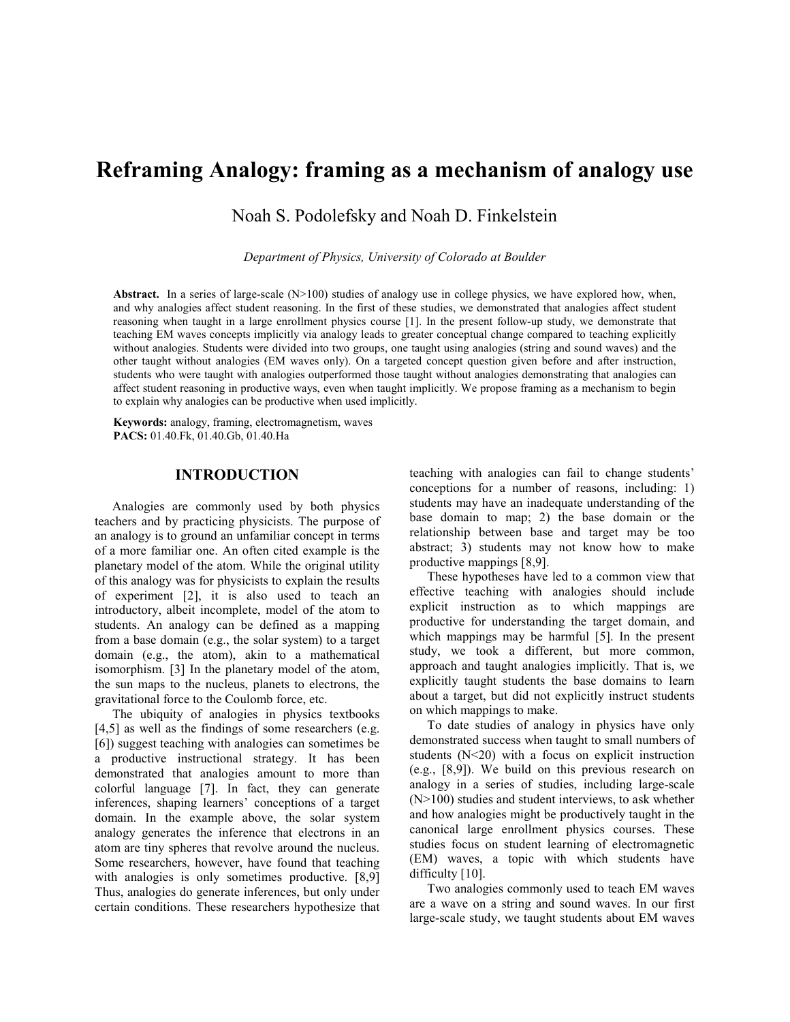# Reframing Analogy: framing as a mechanism of analogy use

Noah S. Podolefsky and Noah D. Finkelstein

Department of Physics, University of Colorado at Boulder

Abstract. In a series of large-scale  $(N>100)$  studies of analogy use in college physics, we have explored how, when, and why analogies affect student reasoning. In the first of these studies, we demonstrated that analogies affect student reasoning when taught in a large enrollment physics course [1]. In the present follow-up study, we demonstrate that teaching EM waves concepts implicitly via analogy leads to greater conceptual change compared to teaching explicitly without analogies. Students were divided into two groups, one taught using analogies (string and sound waves) and the other taught without analogies (EM waves only). On a targeted concept question given before and after instruction, students who were taught with analogies outperformed those taught without analogies demonstrating that analogies can affect student reasoning in productive ways, even when taught implicitly. We propose framing as a mechanism to begin to explain why analogies can be productive when used implicitly.

Keywords: analogy, framing, electromagnetism, waves PACS: 01.40.Fk, 01.40.Gb, 01.40.Ha

## INTRODUCTION

Analogies are commonly used by both physics teachers and by practicing physicists. The purpose of an analogy is to ground an unfamiliar concept in terms of a more familiar one. An often cited example is the planetary model of the atom. While the original utility of this analogy was for physicists to explain the results of experiment [2], it is also used to teach an introductory, albeit incomplete, model of the atom to students. An analogy can be defined as a mapping from a base domain (e.g., the solar system) to a target domain (e.g., the atom), akin to a mathematical isomorphism. [3] In the planetary model of the atom, the sun maps to the nucleus, planets to electrons, the gravitational force to the Coulomb force, etc.

The ubiquity of analogies in physics textbooks [4,5] as well as the findings of some researchers (e.g. [6]) suggest teaching with analogies can sometimes be a productive instructional strategy. It has been demonstrated that analogies amount to more than colorful language [7]. In fact, they can generate inferences, shaping learners' conceptions of a target domain. In the example above, the solar system analogy generates the inference that electrons in an atom are tiny spheres that revolve around the nucleus. Some researchers, however, have found that teaching with analogies is only sometimes productive. [8,9] Thus, analogies do generate inferences, but only under certain conditions. These researchers hypothesize that

teaching with analogies can fail to change students' conceptions for a number of reasons, including: 1) students may have an inadequate understanding of the base domain to map; 2) the base domain or the relationship between base and target may be too abstract; 3) students may not know how to make productive mappings [8,9].

These hypotheses have led to a common view that effective teaching with analogies should include explicit instruction as to which mappings are productive for understanding the target domain, and which mappings may be harmful [5]. In the present study, we took a different, but more common, approach and taught analogies implicitly. That is, we explicitly taught students the base domains to learn about a target, but did not explicitly instruct students on which mappings to make.

To date studies of analogy in physics have only demonstrated success when taught to small numbers of students (N<20) with a focus on explicit instruction (e.g., [8,9]). We build on this previous research on analogy in a series of studies, including large-scale (N>100) studies and student interviews, to ask whether and how analogies might be productively taught in the canonical large enrollment physics courses. These studies focus on student learning of electromagnetic (EM) waves, a topic with which students have difficulty [10].

Two analogies commonly used to teach EM waves are a wave on a string and sound waves. In our first large-scale study, we taught students about EM waves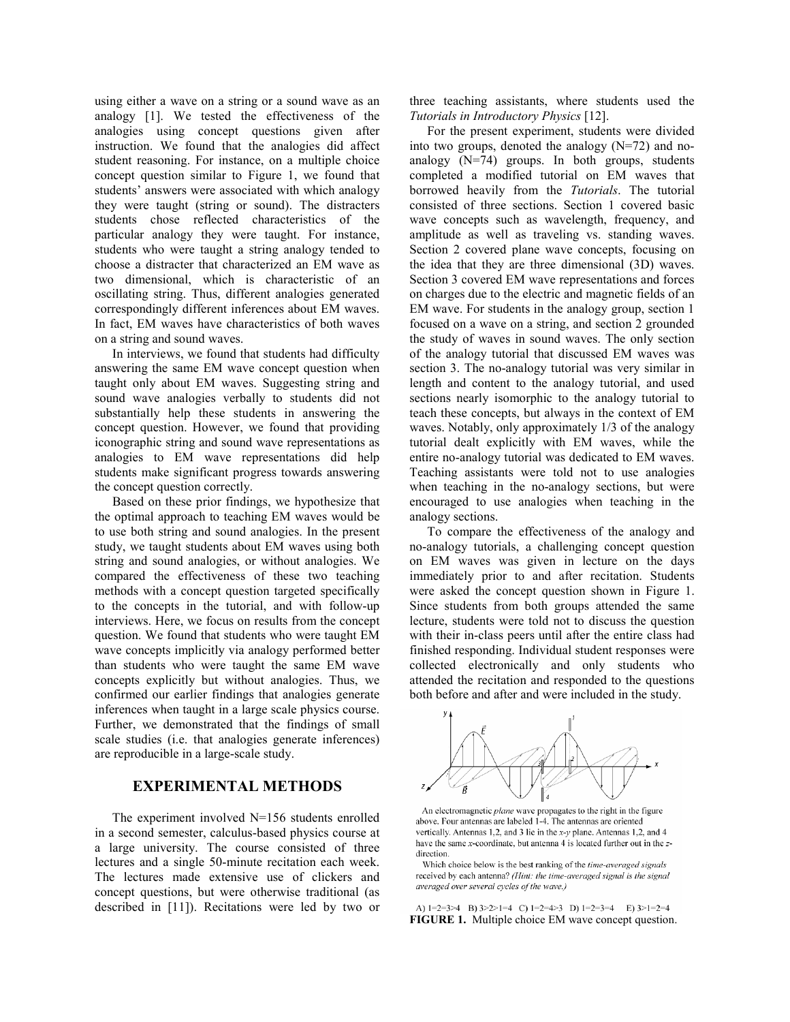using either a wave on a string or a sound wave as an analogy [1]. We tested the effectiveness of the analogies using concept questions given after instruction. We found that the analogies did affect student reasoning. For instance, on a multiple choice concept question similar to Figure 1, we found that students' answers were associated with which analogy they were taught (string or sound). The distracters students chose reflected characteristics of the particular analogy they were taught. For instance, students who were taught a string analogy tended to choose a distracter that characterized an EM wave as two dimensional, which is characteristic of an oscillating string. Thus, different analogies generated correspondingly different inferences about EM waves. In fact, EM waves have characteristics of both waves on a string and sound waves.

In interviews, we found that students had difficulty answering the same EM wave concept question when taught only about EM waves. Suggesting string and sound wave analogies verbally to students did not substantially help these students in answering the concept question. However, we found that providing iconographic string and sound wave representations as analogies to EM wave representations did help students make significant progress towards answering the concept question correctly.

Based on these prior findings, we hypothesize that the optimal approach to teaching EM waves would be to use both string and sound analogies. In the present study, we taught students about EM waves using both string and sound analogies, or without analogies. We compared the effectiveness of these two teaching methods with a concept question targeted specifically to the concepts in the tutorial, and with follow-up interviews. Here, we focus on results from the concept question. We found that students who were taught EM wave concepts implicitly via analogy performed better than students who were taught the same EM wave concepts explicitly but without analogies. Thus, we confirmed our earlier findings that analogies generate inferences when taught in a large scale physics course. Further, we demonstrated that the findings of small scale studies (i.e. that analogies generate inferences) are reproducible in a large-scale study.

## EXPERIMENTAL METHODS

The experiment involved N=156 students enrolled in a second semester, calculus-based physics course at a large university. The course consisted of three lectures and a single 50-minute recitation each week. The lectures made extensive use of clickers and concept questions, but were otherwise traditional (as described in [11]). Recitations were led by two or three teaching assistants, where students used the Tutorials in Introductory Physics [12].

For the present experiment, students were divided into two groups, denoted the analogy (N=72) and noanalogy  $(N=74)$  groups. In both groups, students completed a modified tutorial on EM waves that borrowed heavily from the Tutorials. The tutorial consisted of three sections. Section 1 covered basic wave concepts such as wavelength, frequency, and amplitude as well as traveling vs. standing waves. Section 2 covered plane wave concepts, focusing on the idea that they are three dimensional (3D) waves. Section 3 covered EM wave representations and forces on charges due to the electric and magnetic fields of an EM wave. For students in the analogy group, section 1 focused on a wave on a string, and section 2 grounded the study of waves in sound waves. The only section of the analogy tutorial that discussed EM waves was section 3. The no-analogy tutorial was very similar in length and content to the analogy tutorial, and used sections nearly isomorphic to the analogy tutorial to teach these concepts, but always in the context of EM waves. Notably, only approximately 1/3 of the analogy tutorial dealt explicitly with EM waves, while the entire no-analogy tutorial was dedicated to EM waves. Teaching assistants were told not to use analogies when teaching in the no-analogy sections, but were encouraged to use analogies when teaching in the analogy sections.

To compare the effectiveness of the analogy and no-analogy tutorials, a challenging concept question on EM waves was given in lecture on the days immediately prior to and after recitation. Students were asked the concept question shown in Figure 1. Since students from both groups attended the same lecture, students were told not to discuss the question with their in-class peers until after the entire class had finished responding. Individual student responses were collected electronically and only students who attended the recitation and responded to the questions both before and after and were included in the study.



An electromagnetic plane wave propagates to the right in the figure above. Four antennas are labeled 1-4. The antennas are oriented vertically. Antennas 1,2, and 3 lie in the  $x-y$  plane. Antennas 1,2, and 4 have the same x-coordinate, but antenna 4 is located further out in the zdirection.

Which choice below is the best ranking of the time-averaged signals received by each antenna? (Hint: the time-averaged signal is the signal averaged over several cycles of the wave.)

A) 1=2=3>4 B) 3>2>1=4 C) 1=2=4>3 D) 1=2=3=4 E) 3>1=2=4 FIGURE 1. Multiple choice EM wave concept question.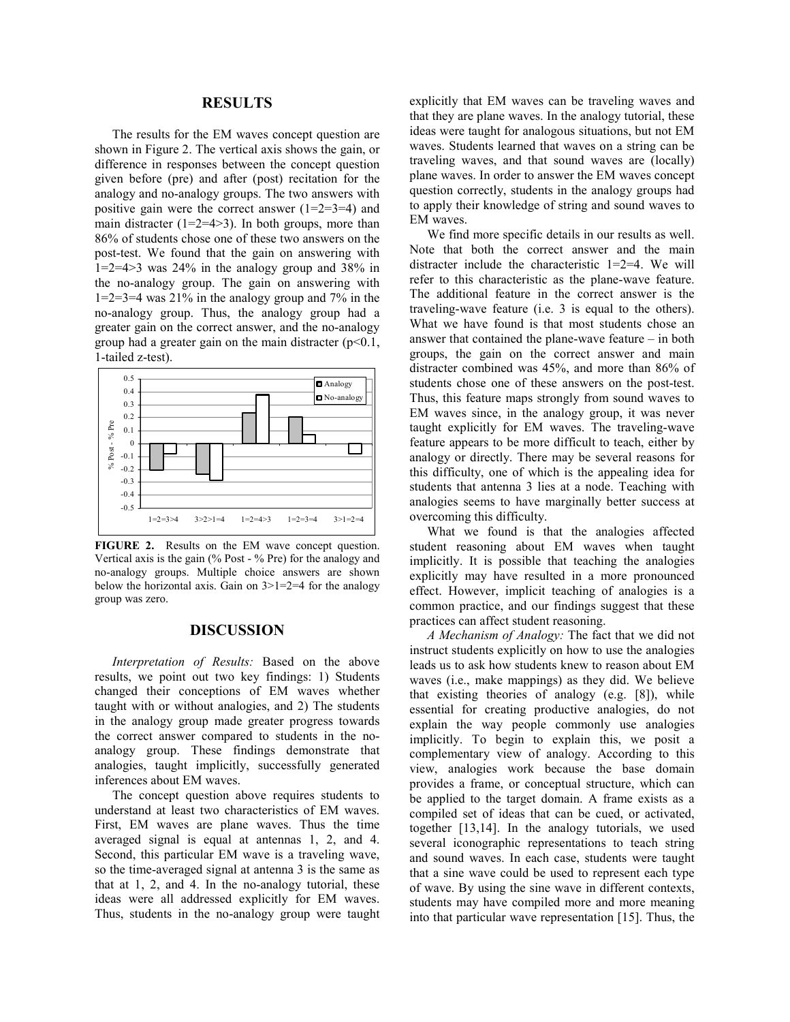#### RESULTS

The results for the EM waves concept question are shown in Figure 2. The vertical axis shows the gain, or difference in responses between the concept question given before (pre) and after (post) recitation for the analogy and no-analogy groups. The two answers with positive gain were the correct answer  $(1=2=3=4)$  and main distracter  $(1=2=4>3)$ . In both groups, more than 86% of students chose one of these two answers on the post-test. We found that the gain on answering with  $1=2=4>3$  was 24% in the analogy group and 38% in the no-analogy group. The gain on answering with 1=2=3=4 was 21% in the analogy group and 7% in the no-analogy group. Thus, the analogy group had a greater gain on the correct answer, and the no-analogy group had a greater gain on the main distracter  $(p<0.1$ , 1-tailed z-test).



FIGURE 2. Results on the EM wave concept question. Vertical axis is the gain (% Post - % Pre) for the analogy and no-analogy groups. Multiple choice answers are shown below the horizontal axis. Gain on  $3>1=2=4$  for the analogy group was zero.

#### DISCUSSION

Interpretation of Results: Based on the above results, we point out two key findings: 1) Students changed their conceptions of EM waves whether taught with or without analogies, and 2) The students in the analogy group made greater progress towards the correct answer compared to students in the noanalogy group. These findings demonstrate that analogies, taught implicitly, successfully generated inferences about EM waves.

The concept question above requires students to understand at least two characteristics of EM waves. First, EM waves are plane waves. Thus the time averaged signal is equal at antennas 1, 2, and 4. Second, this particular EM wave is a traveling wave, so the time-averaged signal at antenna 3 is the same as that at 1, 2, and 4. In the no-analogy tutorial, these ideas were all addressed explicitly for EM waves. Thus, students in the no-analogy group were taught explicitly that EM waves can be traveling waves and that they are plane waves. In the analogy tutorial, these ideas were taught for analogous situations, but not EM waves. Students learned that waves on a string can be traveling waves, and that sound waves are (locally) plane waves. In order to answer the EM waves concept question correctly, students in the analogy groups had to apply their knowledge of string and sound waves to EM waves.

We find more specific details in our results as well. Note that both the correct answer and the main distracter include the characteristic 1=2=4. We will refer to this characteristic as the plane-wave feature. The additional feature in the correct answer is the traveling-wave feature (i.e. 3 is equal to the others). What we have found is that most students chose an answer that contained the plane-wave feature – in both groups, the gain on the correct answer and main distracter combined was 45%, and more than 86% of students chose one of these answers on the post-test. Thus, this feature maps strongly from sound waves to EM waves since, in the analogy group, it was never taught explicitly for EM waves. The traveling-wave feature appears to be more difficult to teach, either by analogy or directly. There may be several reasons for this difficulty, one of which is the appealing idea for students that antenna 3 lies at a node. Teaching with analogies seems to have marginally better success at overcoming this difficulty.

What we found is that the analogies affected student reasoning about EM waves when taught implicitly. It is possible that teaching the analogies explicitly may have resulted in a more pronounced effect. However, implicit teaching of analogies is a common practice, and our findings suggest that these practices can affect student reasoning.

A Mechanism of Analogy: The fact that we did not instruct students explicitly on how to use the analogies leads us to ask how students knew to reason about EM waves (i.e., make mappings) as they did. We believe that existing theories of analogy (e.g. [8]), while essential for creating productive analogies, do not explain the way people commonly use analogies implicitly. To begin to explain this, we posit a complementary view of analogy. According to this view, analogies work because the base domain provides a frame, or conceptual structure, which can be applied to the target domain. A frame exists as a compiled set of ideas that can be cued, or activated, together [13,14]. In the analogy tutorials, we used several iconographic representations to teach string and sound waves. In each case, students were taught that a sine wave could be used to represent each type of wave. By using the sine wave in different contexts, students may have compiled more and more meaning into that particular wave representation [15]. Thus, the